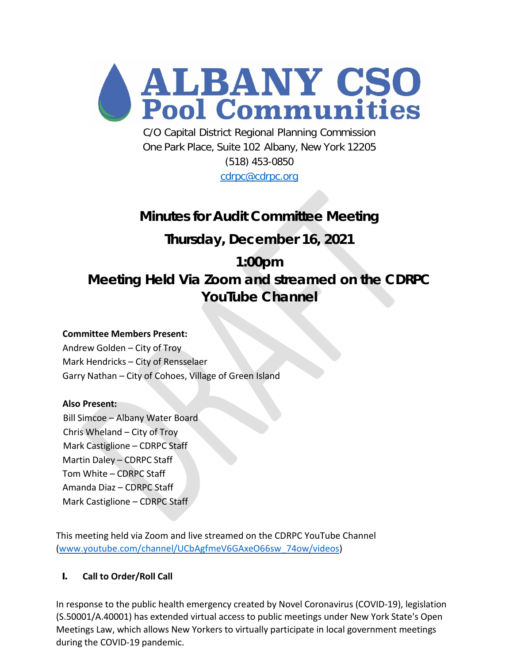

C/O Capital District Regional Planning Commission One Park Place, Suite 102 Albany, New York 12205 (518) 453-0850

[cdrpc@cdrpc.org](mailto:cdrpc@cdrpc.org)

## **Minutes for Audit Committee Meeting**

## **Thursday, December 16, 2021**

# **1:00pm Meeting Held Via Zoom and streamed on the CDRPC YouTube Channel**

### **Committee Members Present:**

Andrew Golden – City of Troy Mark Hendricks – City of Rensselaer Garry Nathan – City of Cohoes, Village of Green Island

#### **Also Present:**

Bill Simcoe – Albany Water Board Chris Wheland – City of Troy Mark Castiglione – CDRPC Staff Martin Daley – CDRPC Staff Tom White – CDRPC Staff Amanda Diaz – CDRPC Staff Mark Castiglione – CDRPC Staff

This meeting held via Zoom and live streamed on the CDRPC YouTube Channel [\(www.youtube.com/channel/UCbAgfmeV6GAxeO66sw\\_74ow/videos\)](http://www.youtube.com/channel/UCbAgfmeV6GAxeO66sw_74ow/videos)

### **I. Call to Order/Roll Call**

In response to the public health emergency created by Novel Coronavirus (COVID-19), legislation (S.50001/A.40001) has extended virtual access to public meetings under New York State's Open Meetings Law, which allows New Yorkers to virtually participate in local government meetings during the COVID-19 pandemic.